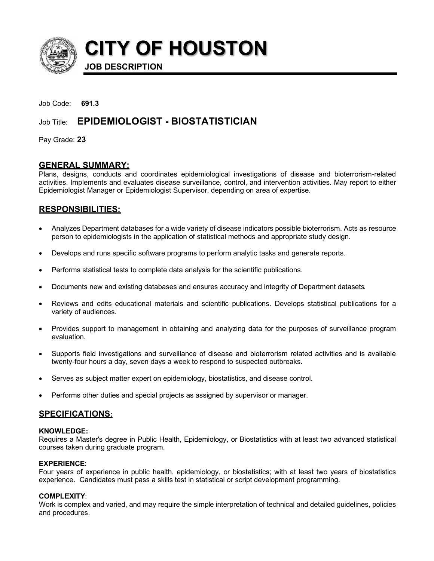

**CITY OF HOUSTON**

**JOB DESCRIPTION**

Job Code: **691.3**

# Job Title: **EPIDEMIOLOGIST - BIOSTATISTICIAN**

Pay Grade: **23**

## **GENERAL SUMMARY:**

Plans, designs, conducts and coordinates epidemiological investigations of disease and bioterrorism-related activities. Implements and evaluates disease surveillance, control, and intervention activities. May report to either Epidemiologist Manager or Epidemiologist Supervisor, depending on area of expertise.

## **RESPONSIBILITIES:**

- Analyzes Department databases for a wide variety of disease indicators possible bioterrorism. Acts as resource person to epidemiologists in the application of statistical methods and appropriate study design.
- Develops and runs specific software programs to perform analytic tasks and generate reports.
- Performs statistical tests to complete data analysis for the scientific publications.
- Documents new and existing databases and ensures accuracy and integrity of Department datasets.
- Reviews and edits educational materials and scientific publications. Develops statistical publications for a variety of audiences.
- Provides support to management in obtaining and analyzing data for the purposes of surveillance program evaluation.
- Supports field investigations and surveillance of disease and bioterrorism related activities and is available twenty-four hours a day, seven days a week to respond to suspected outbreaks.
- Serves as subject matter expert on epidemiology, biostatistics, and disease control.
- Performs other duties and special projects as assigned by supervisor or manager.

## **SPECIFICATIONS:**

#### **KNOWLEDGE:**

Requires a Master's degree in Public Health, Epidemiology, or Biostatistics with at least two advanced statistical courses taken during graduate program.

## **EXPERIENCE**:

Four years of experience in public health, epidemiology, or biostatistics; with at least two years of biostatistics experience. Candidates must pass a skills test in statistical or script development programming.

## **COMPLEXITY**:

Work is complex and varied, and may require the simple interpretation of technical and detailed guidelines, policies and procedures.